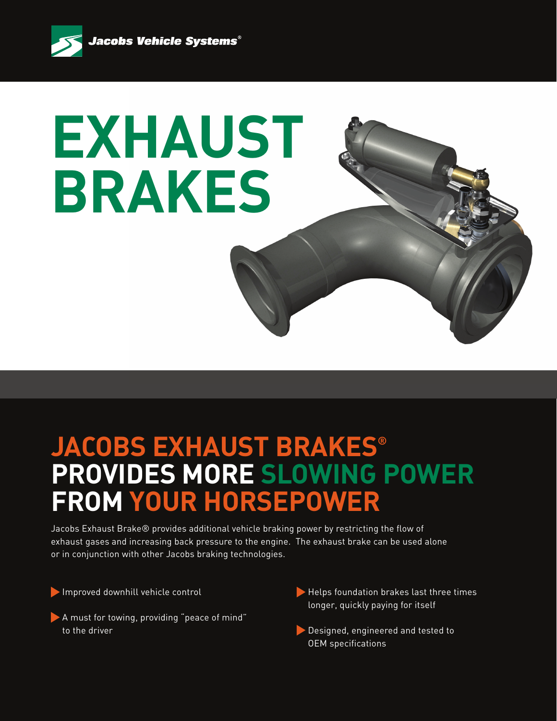

## **EXHAUST BRAKES**

## **JACOBS EXHAUST BRAKES® PROVIDES MORE SLOWING POWER FROM YOUR HORSEPOWER**

Jacobs Exhaust Brake® provides additional vehicle braking power by restricting the flow of exhaust gases and increasing back pressure to the engine. The exhaust brake can be used alone or in conjunction with other Jacobs braking technologies.

Improved downhill vehicle control

- A must for towing, providing "peace of mind" to the driver
- Helps foundation brakes last three times longer, quickly paying for itself
- Designed, engineered and tested to OEM specifications